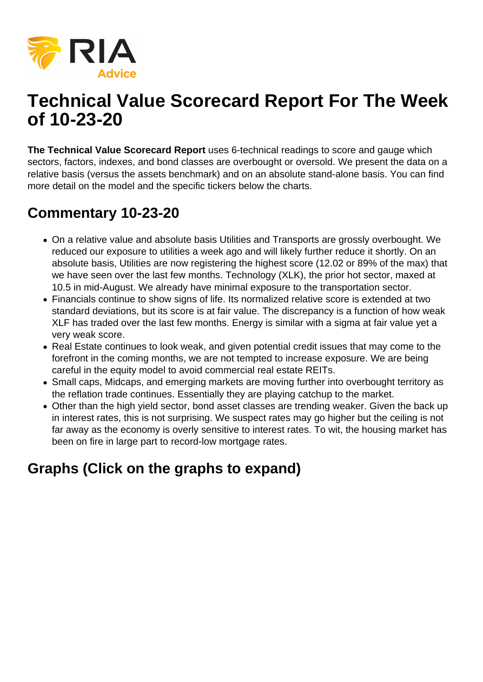

## **Technical Value Scorecard Report For The Week of 10-23-20**

**The Technical Value Scorecard Report** uses 6-technical readings to score and gauge which sectors, factors, indexes, and bond classes are overbought or oversold. We present the data on a relative basis (versus the assets benchmark) and on an absolute stand-alone basis. You can find more detail on the model and the specific tickers below the charts.

## **Commentary 10-23-20**

- On a relative value and absolute basis Utilities and Transports are grossly overbought. We reduced our exposure to utilities a week ago and will likely further reduce it shortly. On an absolute basis, Utilities are now registering the highest score (12.02 or 89% of the max) that we have seen over the last few months. Technology (XLK), the prior hot sector, maxed at 10.5 in mid-August. We already have minimal exposure to the transportation sector.
- Financials continue to show signs of life. Its normalized relative score is extended at two standard deviations, but its score is at fair value. The discrepancy is a function of how weak XLF has traded over the last few months. Energy is similar with a sigma at fair value yet a very weak score.
- Real Estate continues to look weak, and given potential credit issues that may come to the forefront in the coming months, we are not tempted to increase exposure. We are being careful in the equity model to avoid commercial real estate REITs.
- Small caps, Midcaps, and emerging markets are moving further into overbought territory as the reflation trade continues. Essentially they are playing catchup to the market.
- Other than the high yield sector, bond asset classes are trending weaker. Given the back up in interest rates, this is not surprising. We suspect rates may go higher but the ceiling is not far away as the economy is overly sensitive to interest rates. To wit, the housing market has been on fire in large part to record-low mortgage rates.

## **Graphs (Click on the graphs to expand)**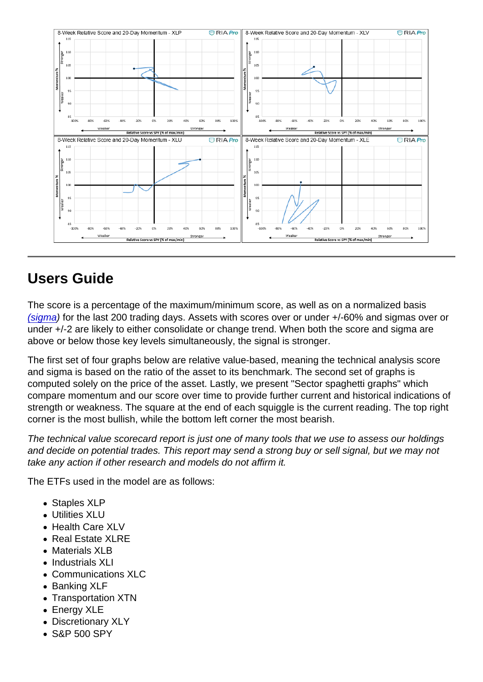## Users Guide

The score is a percentage of the maximum/minimum score, as well as on a normalized basis [\(sigma](https://www.investopedia.com/terms/s/standarddeviation.asp)) for the last 200 trading days. Assets with scores over or under +/-60% and sigmas over or under +/-2 are likely to either consolidate or change trend. When both the score and sigma are above or below those key levels simultaneously, the signal is stronger.

The first set of four graphs below are relative value-based, meaning the technical analysis score and sigma is based on the ratio of the asset to its benchmark. The second set of graphs is computed solely on the price of the asset. Lastly, we present "Sector spaghetti graphs" which compare momentum and our score over time to provide further current and historical indications of strength or weakness. The square at the end of each squiggle is the current reading. The top right corner is the most bullish, while the bottom left corner the most bearish.

The technical value scorecard report is just one of many tools that we use to assess our holdings and decide on potential trades. This report may send a strong buy or sell signal, but we may not take any action if other research and models do not affirm it.

The ETFs used in the model are as follows:

- Staples XLP
- Utilities XLU
- Health Care XLV
- Real Estate XLRE
- Materials XLB
- Industrials XLI
- Communications XLC
- Banking XLF
- Transportation XTN
- Energy XLE
- Discretionary XLY
- S&P 500 SPY